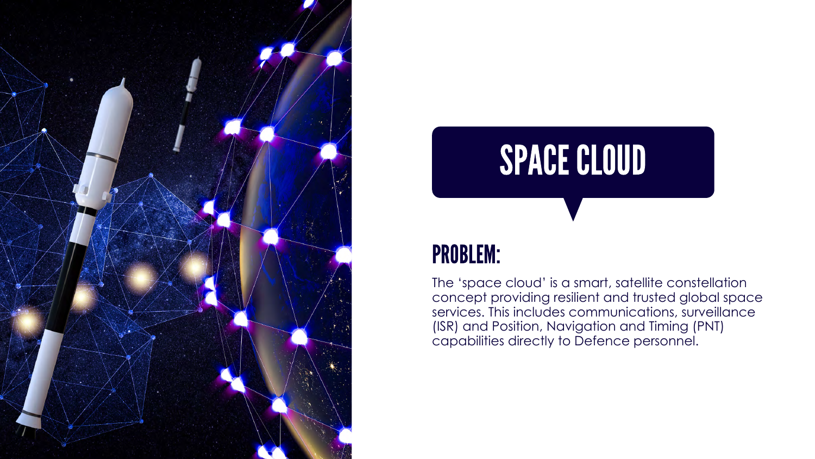



## PROBLEM:

The 'space cloud' is a smart, satellite constellation concept providing resilient and trusted global space services. This includes communications, surveillance (ISR) and Position, Navigation and Timing (PNT) capabilities directly to Defence personnel.